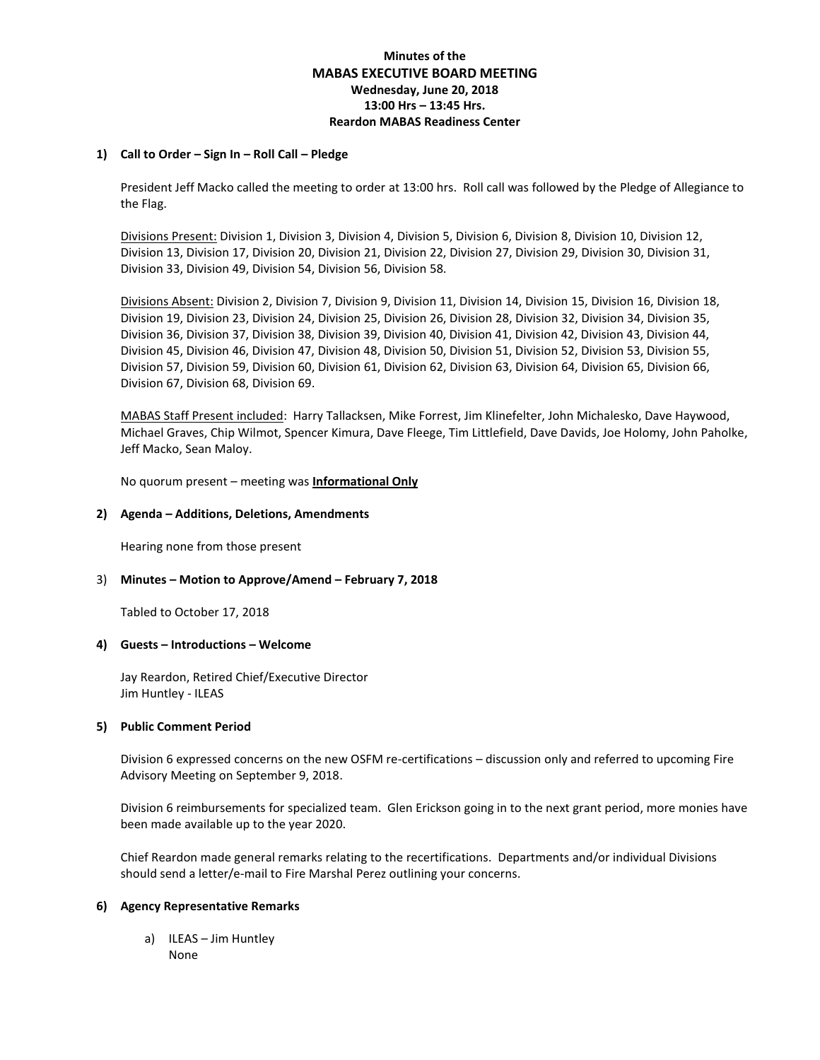# **Minutes of the MABAS EXECUTIVE BOARD MEETING Wednesday, June 20, 2018 13:00 Hrs – 13:45 Hrs. Reardon MABAS Readiness Center**

## **1) Call to Order – Sign In – Roll Call – Pledge**

President Jeff Macko called the meeting to order at 13:00 hrs. Roll call was followed by the Pledge of Allegiance to the Flag.

Divisions Present: Division 1, Division 3, Division 4, Division 5, Division 6, Division 8, Division 10, Division 12, Division 13, Division 17, Division 20, Division 21, Division 22, Division 27, Division 29, Division 30, Division 31, Division 33, Division 49, Division 54, Division 56, Division 58.

Divisions Absent: Division 2, Division 7, Division 9, Division 11, Division 14, Division 15, Division 16, Division 18, Division 19, Division 23, Division 24, Division 25, Division 26, Division 28, Division 32, Division 34, Division 35, Division 36, Division 37, Division 38, Division 39, Division 40, Division 41, Division 42, Division 43, Division 44, Division 45, Division 46, Division 47, Division 48, Division 50, Division 51, Division 52, Division 53, Division 55, Division 57, Division 59, Division 60, Division 61, Division 62, Division 63, Division 64, Division 65, Division 66, Division 67, Division 68, Division 69.

MABAS Staff Present included: Harry Tallacksen, Mike Forrest, Jim Klinefelter, John Michalesko, Dave Haywood, Michael Graves, Chip Wilmot, Spencer Kimura, Dave Fleege, Tim Littlefield, Dave Davids, Joe Holomy, John Paholke, Jeff Macko, Sean Maloy.

No quorum present – meeting was **Informational Only**

# **2) Agenda – Additions, Deletions, Amendments**

Hearing none from those present

## 3) **Minutes – Motion to Approve/Amend – February 7, 2018**

Tabled to October 17, 2018

## **4) Guests – Introductions – Welcome**

Jay Reardon, Retired Chief/Executive Director Jim Huntley - ILEAS

## **5) Public Comment Period**

Division 6 expressed concerns on the new OSFM re-certifications – discussion only and referred to upcoming Fire Advisory Meeting on September 9, 2018.

Division 6 reimbursements for specialized team. Glen Erickson going in to the next grant period, more monies have been made available up to the year 2020.

Chief Reardon made general remarks relating to the recertifications. Departments and/or individual Divisions should send a letter/e-mail to Fire Marshal Perez outlining your concerns.

## **6) Agency Representative Remarks**

a) ILEAS – Jim Huntley None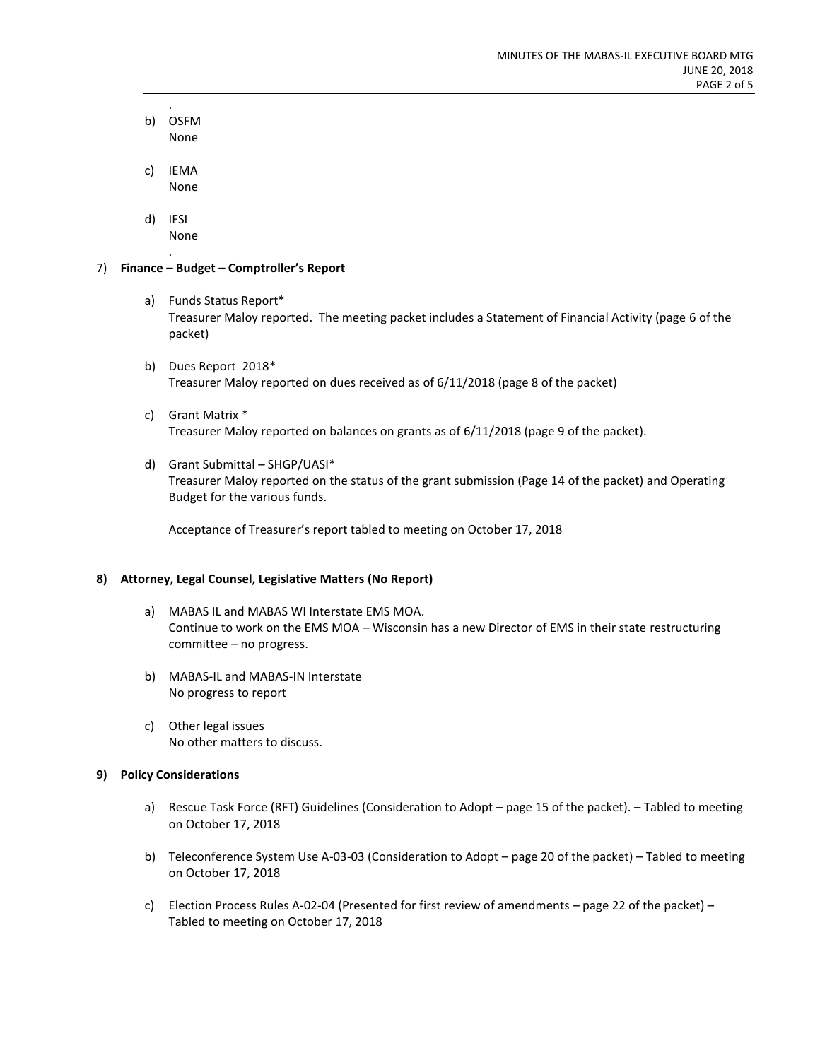- . b) OSFM None
- c) IEMA None
- d) IFSI None .

# 7) **Finance – Budget – Comptroller's Report**

- a) Funds Status Report\* Treasurer Maloy reported. The meeting packet includes a Statement of Financial Activity (page 6 of the packet)
- b) Dues Report 2018\* Treasurer Maloy reported on dues received as of 6/11/2018 (page 8 of the packet)
- c) Grant Matrix \* Treasurer Maloy reported on balances on grants as of 6/11/2018 (page 9 of the packet).
- d) Grant Submittal SHGP/UASI\*

Treasurer Maloy reported on the status of the grant submission (Page 14 of the packet) and Operating Budget for the various funds.

Acceptance of Treasurer's report tabled to meeting on October 17, 2018

# **8) Attorney, Legal Counsel, Legislative Matters (No Report)**

- a) MABAS IL and MABAS WI Interstate EMS MOA. Continue to work on the EMS MOA – Wisconsin has a new Director of EMS in their state restructuring committee – no progress.
- b) MABAS-IL and MABAS-IN Interstate No progress to report
- c) Other legal issues No other matters to discuss.

# **9) Policy Considerations**

- a) Rescue Task Force (RFT) Guidelines (Consideration to Adopt page 15 of the packet). Tabled to meeting on October 17, 2018
- b) Teleconference System Use A-03-03 (Consideration to Adopt page 20 of the packet) Tabled to meeting on October 17, 2018
- c) Election Process Rules A-02-04 (Presented for first review of amendments page 22 of the packet) Tabled to meeting on October 17, 2018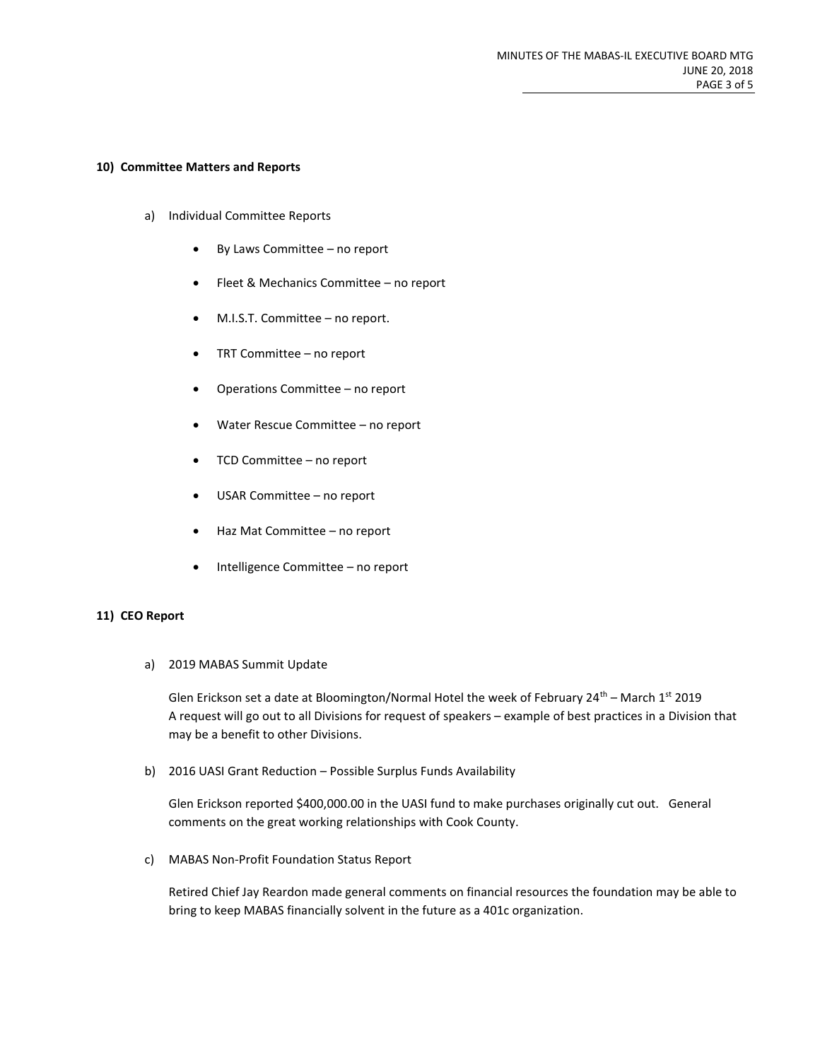#### **10) Committee Matters and Reports**

- a) Individual Committee Reports
	- By Laws Committee no report
	- Fleet & Mechanics Committee no report
	- M.I.S.T. Committee no report.
	- TRT Committee no report
	- Operations Committee no report
	- Water Rescue Committee no report
	- TCD Committee no report
	- USAR Committee no report
	- Haz Mat Committee no report
	- Intelligence Committee no report

## **11) CEO Report**

a) 2019 MABAS Summit Update

Glen Erickson set a date at Bloomington/Normal Hotel the week of February 24<sup>th</sup> – March 1<sup>st</sup> 2019 A request will go out to all Divisions for request of speakers – example of best practices in a Division that may be a benefit to other Divisions.

b) 2016 UASI Grant Reduction – Possible Surplus Funds Availability

Glen Erickson reported \$400,000.00 in the UASI fund to make purchases originally cut out. General comments on the great working relationships with Cook County.

c) MABAS Non-Profit Foundation Status Report

Retired Chief Jay Reardon made general comments on financial resources the foundation may be able to bring to keep MABAS financially solvent in the future as a 401c organization.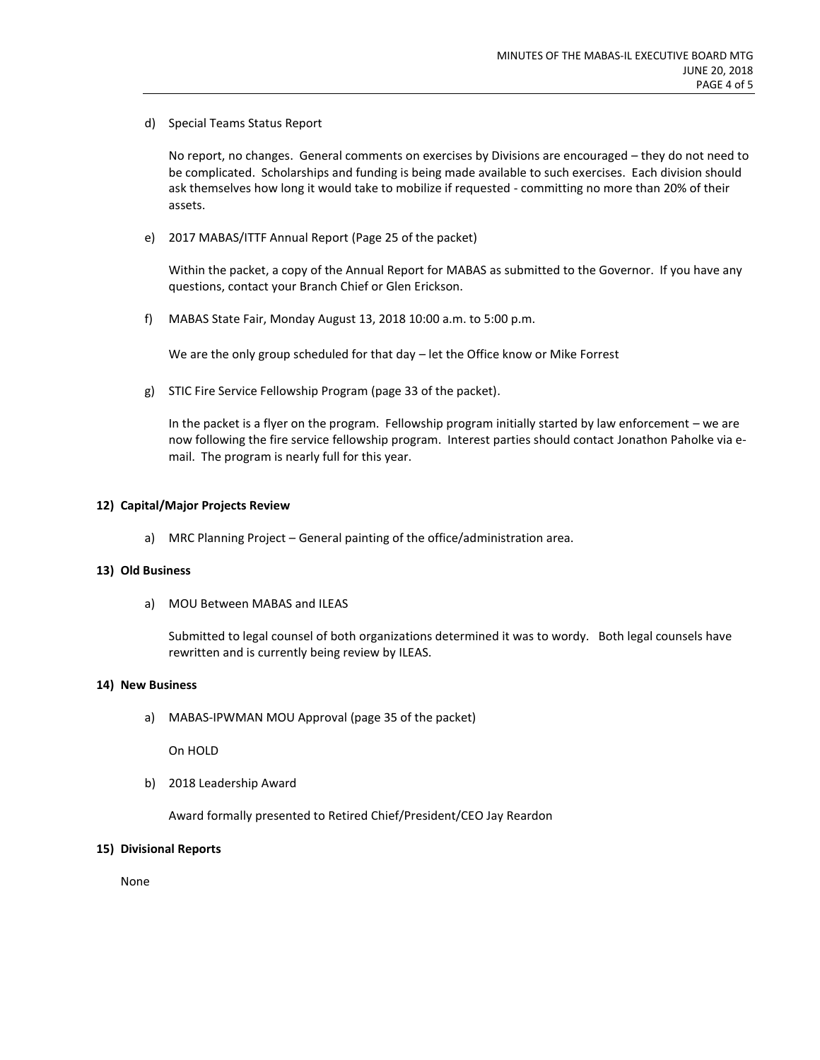d) Special Teams Status Report

No report, no changes. General comments on exercises by Divisions are encouraged – they do not need to be complicated. Scholarships and funding is being made available to such exercises. Each division should ask themselves how long it would take to mobilize if requested - committing no more than 20% of their assets.

e) 2017 MABAS/ITTF Annual Report (Page 25 of the packet)

Within the packet, a copy of the Annual Report for MABAS as submitted to the Governor. If you have any questions, contact your Branch Chief or Glen Erickson.

f) MABAS State Fair, Monday August 13, 2018 10:00 a.m. to 5:00 p.m.

We are the only group scheduled for that day – let the Office know or Mike Forrest

g) STIC Fire Service Fellowship Program (page 33 of the packet).

In the packet is a flyer on the program. Fellowship program initially started by law enforcement – we are now following the fire service fellowship program. Interest parties should contact Jonathon Paholke via email. The program is nearly full for this year.

# **12) Capital/Major Projects Review**

a) MRC Planning Project – General painting of the office/administration area.

## **13) Old Business**

a) MOU Between MABAS and ILEAS

Submitted to legal counsel of both organizations determined it was to wordy. Both legal counsels have rewritten and is currently being review by ILEAS.

## **14) New Business**

a) MABAS-IPWMAN MOU Approval (page 35 of the packet)

On HOLD

b) 2018 Leadership Award

Award formally presented to Retired Chief/President/CEO Jay Reardon

## **15) Divisional Reports**

None